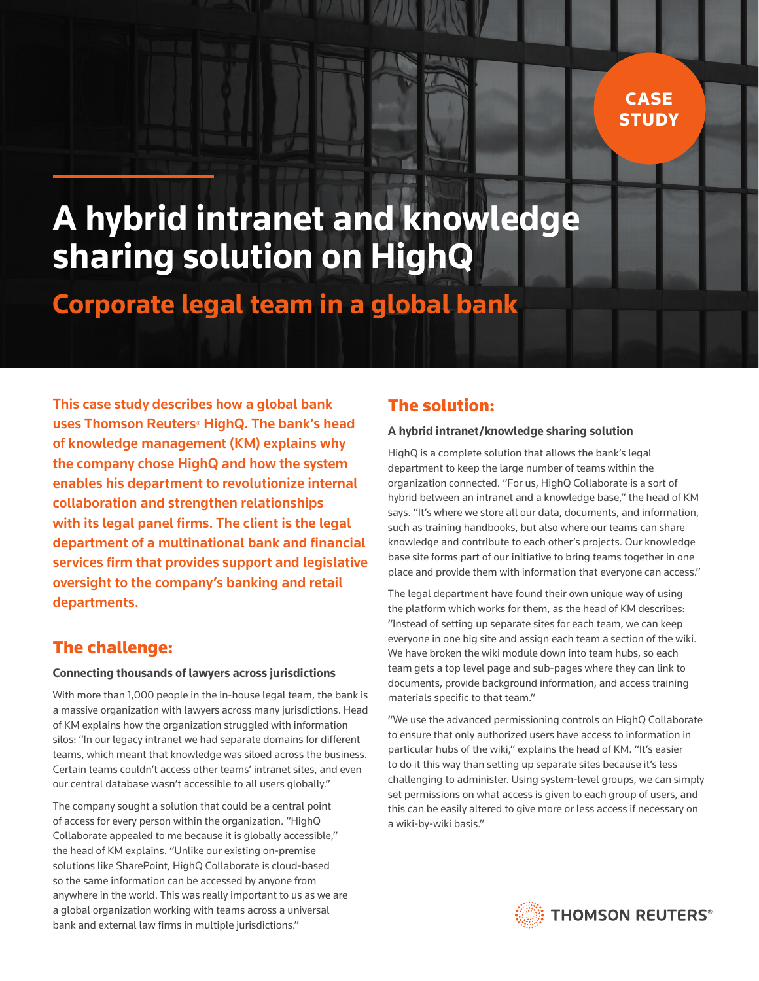## CASE **STUDY**

# **A hybrid intranet and knowledge sharing solution on HighQ**

## **Corporate legal team in a global bank**

This case study describes how a global bank uses Thomson Reuters<sup>®</sup> HighQ. The bank's head of knowledge management (KM) explains why the company chose HighQ and how the system enables his department to revolutionize internal collaboration and strengthen relationships with its legal panel firms. The client is the legal department of a multinational bank and financial services firm that provides support and legislative oversight to the company's banking and retail departments.

## The challenge:

#### **Connecting thousands of lawyers across jurisdictions**

With more than 1,000 people in the in-house legal team, the bank is a massive organization with lawyers across many jurisdictions. Head of KM explains how the organization struggled with information silos: "In our legacy intranet we had separate domains for different teams, which meant that knowledge was siloed across the business. Certain teams couldn't access other teams' intranet sites, and even our central database wasn't accessible to all users globally."

The company sought a solution that could be a central point of access for every person within the organization. "HighQ Collaborate appealed to me because it is globally accessible," the head of KM explains. "Unlike our existing on-premise solutions like SharePoint, HighQ Collaborate is cloud-based so the same information can be accessed by anyone from anywhere in the world. This was really important to us as we are a global organization working with teams across a universal bank and external law firms in multiple jurisdictions."

### The solution:

#### **A hybrid intranet/knowledge sharing solution**

HighQ is a complete solution that allows the bank's legal department to keep the large number of teams within the organization connected. "For us, HighQ Collaborate is a sort of hybrid between an intranet and a knowledge base," the head of KM says. "It's where we store all our data, documents, and information, such as training handbooks, but also where our teams can share knowledge and contribute to each other's projects. Our knowledge base site forms part of our initiative to bring teams together in one place and provide them with information that everyone can access."

The legal department have found their own unique way of using the platform which works for them, as the head of KM describes: "Instead of setting up separate sites for each team, we can keep everyone in one big site and assign each team a section of the wiki. We have broken the wiki module down into team hubs, so each team gets a top level page and sub-pages where they can link to documents, provide background information, and access training materials specific to that team."

"We use the advanced permissioning controls on HighQ Collaborate to ensure that only authorized users have access to information in particular hubs of the wiki," explains the head of KM. "It's easier to do it this way than setting up separate sites because it's less challenging to administer. Using system-level groups, we can simply set permissions on what access is given to each group of users, and this can be easily altered to give more or less access if necessary on a wiki-by-wiki basis."